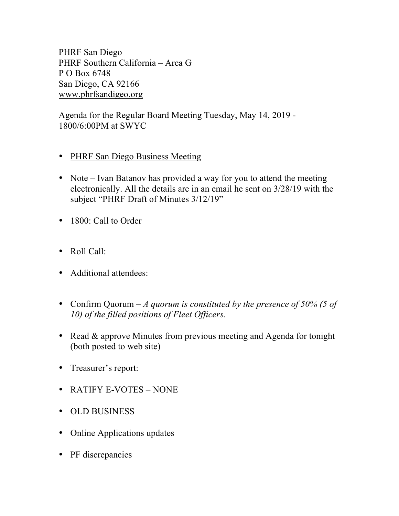PHRF San Diego PHRF Southern California – Area G P O Box 6748 San Diego, CA 92166 www.phrfsandigeo.org

Agenda for the Regular Board Meeting Tuesday, May 14, 2019 - 1800/6:00PM at SWYC

- PHRF San Diego Business Meeting
- Note Ivan Batanov has provided a way for you to attend the meeting electronically. All the details are in an email he sent on 3/28/19 with the subject "PHRF Draft of Minutes 3/12/19"
- 1800: Call to Order
- Roll Call:
- Additional attendees:
- Confirm Quorum *A quorum is constituted by the presence of 50% (5 of 10) of the filled positions of Fleet Officers.*
- Read & approve Minutes from previous meeting and Agenda for tonight (both posted to web site)
- Treasurer's report:
- RATIFY E-VOTES NONE
- OLD BUSINESS
- Online Applications updates
- PF discrepancies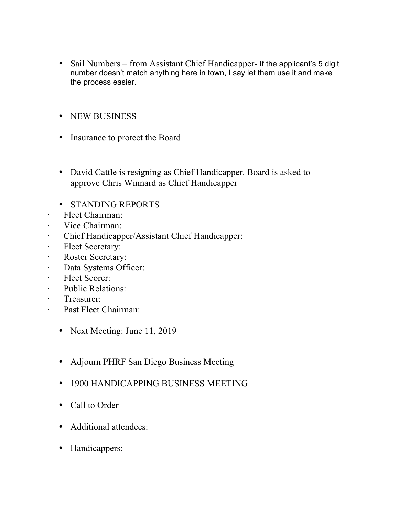- Sail Numbers from Assistant Chief Handicapper- If the applicant's 5 digit number doesn't match anything here in town, I say let them use it and make the process easier.
- NEW BUSINESS
- Insurance to protect the Board
- David Cattle is resigning as Chief Handicapper. Board is asked to approve Chris Winnard as Chief Handicapper
- STANDING REPORTS
- · Fleet Chairman:
- · Vice Chairman:
- · Chief Handicapper/Assistant Chief Handicapper:
- · Fleet Secretary:
- · Roster Secretary:
- · Data Systems Officer:
- · Fleet Scorer:
- · Public Relations:
- · Treasurer:
- · Past Fleet Chairman:
	- Next Meeting: June 11, 2019
	- Adjourn PHRF San Diego Business Meeting
	- 1900 HANDICAPPING BUSINESS MEETING
	- Call to Order
	- Additional attendees:
	- Handicappers: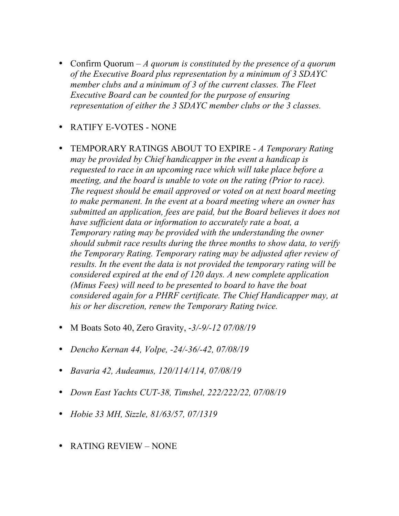- Confirm Quorum *A quorum is constituted by the presence of a quorum of the Executive Board plus representation by a minimum of 3 SDAYC member clubs and a minimum of 3 of the current classes. The Fleet Executive Board can be counted for the purpose of ensuring representation of either the 3 SDAYC member clubs or the 3 classes.*
- RATIFY E-VOTES NONE
- TEMPORARY RATINGS ABOUT TO EXPIRE *A Temporary Rating may be provided by Chief handicapper in the event a handicap is requested to race in an upcoming race which will take place before a meeting, and the board is unable to vote on the rating (Prior to race). The request should be email approved or voted on at next board meeting to make permanent. In the event at a board meeting where an owner has submitted an application, fees are paid, but the Board believes it does not have sufficient data or information to accurately rate a boat, a Temporary rating may be provided with the understanding the owner should submit race results during the three months to show data, to verify the Temporary Rating. Temporary rating may be adjusted after review of results. In the event the data is not provided the temporary rating will be considered expired at the end of 120 days. A new complete application (Minus Fees) will need to be presented to board to have the boat considered again for a PHRF certificate. The Chief Handicapper may, at his or her discretion, renew the Temporary Rating twice.*
- M Boats Soto 40, Zero Gravity, -*3/-9/-12 07/08/19*
- *Dencho Kernan 44, Volpe, -24/-36/-42, 07/08/19*
- *Bavaria 42, Audeamus, 120/114/114, 07/08/19*
- *Down East Yachts CUT-38, Timshel, 222/222/22, 07/08/19*
- *Hobie 33 MH, Sizzle, 81/63/57, 07/1319*
- RATING REVIEW NONE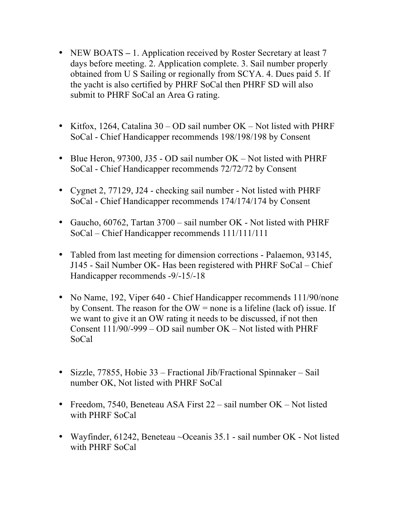- NEW BOATS 1. Application received by Roster Secretary at least 7 days before meeting. 2. Application complete. 3. Sail number properly obtained from U S Sailing or regionally from SCYA. 4. Dues paid 5. If the yacht is also certified by PHRF SoCal then PHRF SD will also submit to PHRF SoCal an Area G rating.
- Kitfox, 1264, Catalina 30 OD sail number OK Not listed with PHRF SoCal - Chief Handicapper recommends 198/198/198 by Consent
- Blue Heron, 97300, J35 OD sail number OK Not listed with PHRF SoCal - Chief Handicapper recommends 72/72/72 by Consent
- Cygnet 2, 77129, J24 checking sail number Not listed with PHRF SoCal - Chief Handicapper recommends 174/174/174 by Consent
- Gaucho, 60762, Tartan 3700 sail number OK Not listed with PHRF SoCal – Chief Handicapper recommends 111/111/111
- Tabled from last meeting for dimension corrections Palaemon, 93145, J145 - Sail Number OK- Has been registered with PHRF SoCal – Chief Handicapper recommends -9/-15/-18
- No Name, 192, Viper 640 Chief Handicapper recommends 111/90/none by Consent. The reason for the  $OW =$  none is a lifeline (lack of) issue. If we want to give it an OW rating it needs to be discussed, if not then Consent  $111/90/-999 - OD$  sail number  $OK - Not$  listed with PHRF SoCal
- Sizzle, 77855, Hobie 33 Fractional Jib/Fractional Spinnaker Sail number OK, Not listed with PHRF SoCal
- Freedom, 7540, Beneteau ASA First 22 sail number OK Not listed with PHRF SoCal
- Wayfinder, 61242, Beneteau ~Oceanis 35.1 sail number OK Not listed with PHRF SoCal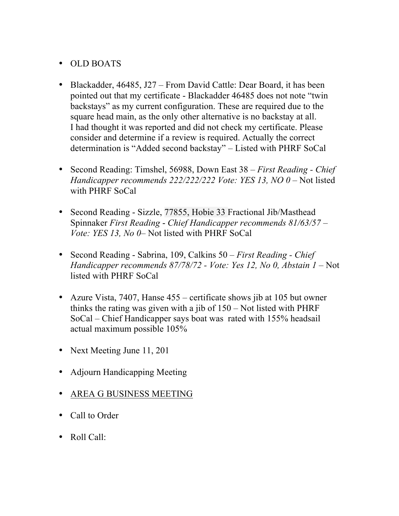## • OLD BOATS

- Blackadder, 46485, J27 From David Cattle: Dear Board, it has been pointed out that my certificate - Blackadder 46485 does not note "twin backstays" as my current configuration. These are required due to the square head main, as the only other alternative is no backstay at all. I had thought it was reported and did not check my certificate. Please consider and determine if a review is required. Actually the correct determination is "Added second backstay" – Listed with PHRF SoCal
- Second Reading: Timshel, 56988, Down East 38 *First Reading - Chief Handicapper recommends 222/222/222 Vote: YES 13, NO 0* – Not listed with PHRF SoCal
- Second Reading Sizzle, 77855, Hobie 33 Fractional Jib/Masthead Spinnaker *First Reading* - *Chief Handicapper recommends 81/63/57 – Vote: YES 13, No 0*– Not listed with PHRF SoCal
- Second Reading Sabrina, 109, Calkins 50 *First Reading - Chief Handicapper recommends 87/78/72 - Vote: Yes 12, No 0, Abstain 1* – Not listed with PHRF SoCal
- Azure Vista, 7407, Hanse 455 certificate shows jib at 105 but owner thinks the rating was given with a jib of 150 – Not listed with PHRF SoCal – Chief Handicapper says boat was rated with 155% headsail actual maximum possible 105%
- Next Meeting June 11, 201
- Adjourn Handicapping Meeting
- AREA G BUSINESS MEETING
- Call to Order
- Roll Call: